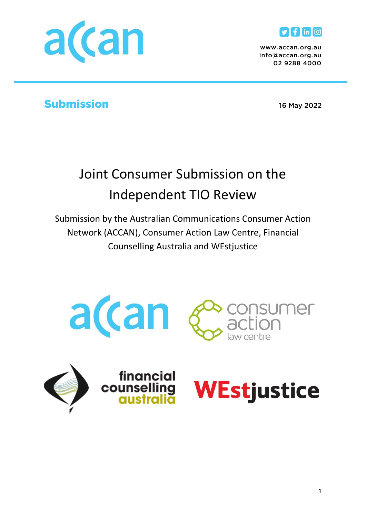



*www.accan.org.au* 02 9288 4000 *02 9288 4000*

# Submission *16 May 2022*

# Joint Consumer Submission on the Independent TIO Review

Submission by the Australian Communications Consumer Action Network (ACCAN), Consumer Action Law Centre, Financial Counselling Australia and WEstjustice







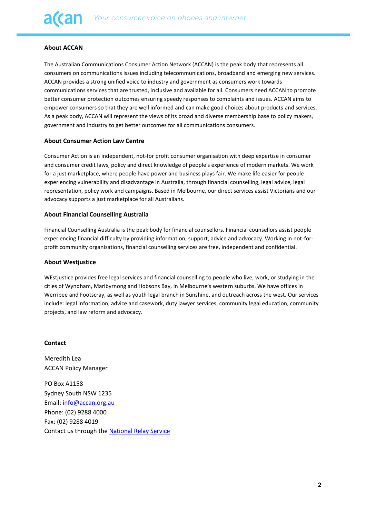#### **About ACCAN**

The Australian Communications Consumer Action Network (ACCAN) is the peak body that represents all consumers on communications issues including telecommunications, broadband and emerging new services. ACCAN provides a strong unified voice to industry and government as consumers work towards communications services that are trusted, inclusive and available for all. Consumers need ACCAN to promote better consumer protection outcomes ensuring speedy responses to complaints and issues. ACCAN aims to empower consumers so that they are well informed and can make good choices about products and services. As a peak body, ACCAN will represent the views of its broad and diverse membership base to policy makers, government and industry to get better outcomes for all communications consumers.

#### **About Consumer Action Law Centre**

Consumer Action is an independent, not-for profit consumer organisation with deep expertise in consumer and consumer credit laws, policy and direct knowledge of people's experience of modern markets. We work for a just marketplace, where people have power and business plays fair. We make life easier for people experiencing vulnerability and disadvantage in Australia, through financial counselling, legal advice, legal representation, policy work and campaigns. Based in Melbourne, our direct services assist Victorians and our advocacy supports a just marketplace for all Australians.

#### **About Financial Counselling Australia**

Financial Counselling Australia is the peak body for financial counsellors. Financial counsellors assist people experiencing financial difficulty by providing information, support, advice and advocacy. Working in not-forprofit community organisations, financial counselling services are free, independent and confidential.

#### **About Westjustice**

WEstjustice provides free legal services and financial counselling to people who live, work, or studying in the cities of Wyndham, Maribyrnong and Hobsons Bay, in Melbourne's western suburbs. We have offices in Werribee and Footscray, as well as youth legal branch in Sunshine, and outreach across the west. Our services include: legal information, advice and casework, duty lawyer services, community legal education, community projects, and law reform and advocacy.

#### **Contact**

Meredith Lea ACCAN Policy Manager

PO Box A1158 Sydney South NSW 1235 Email: [info@accan.org.au](mailto:info@accan.org.au) Phone: (02) 9288 4000 Fax: (02) 9288 4019 Contact us through th[e National Relay Service](http://relayservice.gov.au/)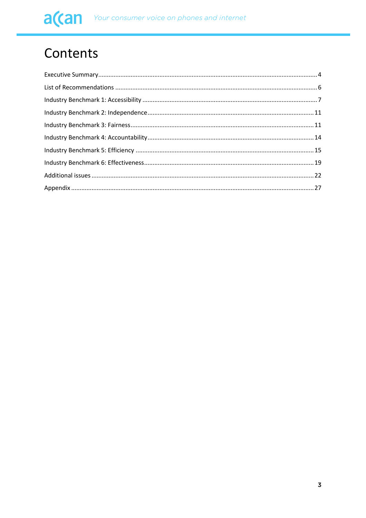# Contents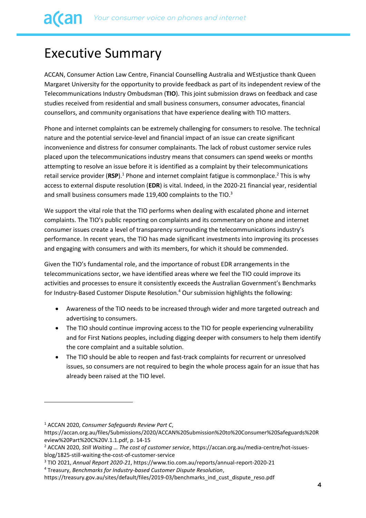# <span id="page-3-0"></span>Executive Summary

ACCAN, Consumer Action Law Centre, Financial Counselling Australia and WEstjustice thank Queen Margaret University for the opportunity to provide feedback as part of its independent review of the Telecommunications Industry Ombudsman (**TIO**). This joint submission draws on feedback and case studies received from residential and small business consumers, consumer advocates, financial counsellors, and community organisations that have experience dealing with TIO matters.

Phone and internet complaints can be extremely challenging for consumers to resolve. The technical nature and the potential service-level and financial impact of an issue can create significant inconvenience and distress for consumer complainants. The lack of robust customer service rules placed upon the telecommunications industry means that consumers can spend weeks or months attempting to resolve an issue before it is identified as a complaint by their telecommunications retail service provider (RSP).<sup>1</sup> Phone and internet complaint fatigue is commonplace.<sup>2</sup> This is why access to external dispute resolution (**EDR**) is vital. Indeed, in the 2020-21 financial year, residential and small business consumers made 119,400 complaints to the TIO.<sup>3</sup>

We support the vital role that the TIO performs when dealing with escalated phone and internet complaints. The TIO's public reporting on complaints and its commentary on phone and internet consumer issues create a level of transparency surrounding the telecommunications industry's performance. In recent years, the TIO has made significant investments into improving its processes and engaging with consumers and with its members, for which it should be commended.

Given the TIO's fundamental role, and the importance of robust EDR arrangements in the telecommunications sector, we have identified areas where we feel the TIO could improve its activities and processes to ensure it consistently exceeds the Australian Government's Benchmarks for Industry-Based Customer Dispute Resolution.<sup>4</sup> Our submission highlights the following:

- Awareness of the TIO needs to be increased through wider and more targeted outreach and advertising to consumers.
- The TIO should continue improving access to the TIO for people experiencing vulnerability and for First Nations peoples, including digging deeper with consumers to help them identify the core complaint and a suitable solution.
- The TIO should be able to reopen and fast-track complaints for recurrent or unresolved issues, so consumers are not required to begin the whole process again for an issue that has already been raised at the TIO level.

<sup>1</sup> ACCAN 2020, *Consumer Safeguards Review Part C*,

https://accan.org.au/files/Submissions/2020/ACCAN%20Submission%20to%20Consumer%20Safeguards%20R eview%20Part%20C%20V.1.1.pdf, p. 14-15

<sup>2</sup> ACCAN 2020, *Still Waiting … The cost of customer service*, https://accan.org.au/media-centre/hot-issuesblog/1825-still-waiting-the-cost-of-customer-service

<sup>3</sup> TIO 2021, *Annual Report 2020-21*, https://www.tio.com.au/reports/annual-report-2020-21

<sup>4</sup> Treasury, *Benchmarks for Industry-based Customer Dispute Resolution*,

https://treasury.gov.au/sites/default/files/2019-03/benchmarks\_ind\_cust\_dispute\_reso.pdf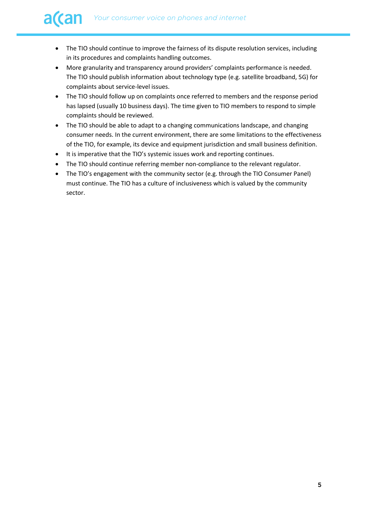- The TIO should continue to improve the fairness of its dispute resolution services, including in its procedures and complaints handling outcomes.
- More granularity and transparency around providers' complaints performance is needed. The TIO should publish information about technology type (e.g. satellite broadband, 5G) for complaints about service-level issues.
- The TIO should follow up on complaints once referred to members and the response period has lapsed (usually 10 business days). The time given to TIO members to respond to simple complaints should be reviewed.
- The TIO should be able to adapt to a changing communications landscape, and changing consumer needs. In the current environment, there are some limitations to the effectiveness of the TIO, for example, its device and equipment jurisdiction and small business definition.
- It is imperative that the TIO's systemic issues work and reporting continues.
- The TIO should continue referring member non-compliance to the relevant regulator.
- The TIO's engagement with the community sector (e.g. through the TIO Consumer Panel) must continue. The TIO has a culture of inclusiveness which is valued by the community sector.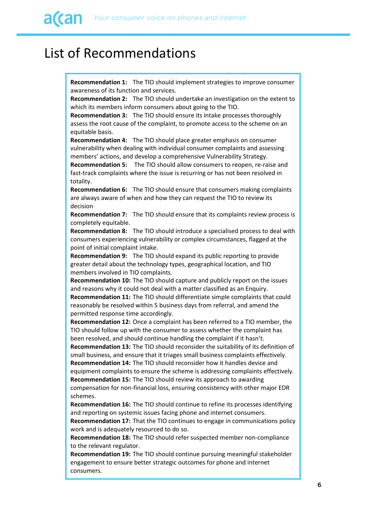# <span id="page-5-0"></span>List of Recommendations

**Recommendation 1:** The TIO should implement strategies to improve consumer awareness of its function and services.

**Recommendation 2:** The TIO should undertake an investigation on the extent to which its members inform consumers about going to the TIO.

**Recommendation 3:** The TIO should ensure its intake processes thoroughly assess the root cause of the complaint, to promote access to the scheme on an equitable basis.

**Recommendation 4:** The TIO should place greater emphasis on consumer vulnerability when dealing with individual consumer complaints and assessing members' actions, and develop a comprehensive Vulnerability Strategy.

**Recommendation 5:** The TIO should allow consumers to reopen, re-raise and fast-track complaints where the issue is recurring or has not been resolved in totality.

**Recommendation 6:** The TIO should ensure that consumers making complaints are always aware of when and how they can request the TIO to review its decision

**Recommendation 7:** The TIO should ensure that its complaints review process is completely equitable.

**Recommendation 8:** The TIO should introduce a specialised process to deal with consumers experiencing vulnerability or complex circumstances, flagged at the point of initial complaint intake.

**Recommendation 9:** The TIO should expand its public reporting to provide greater detail about the technology types, geographical location, and TIO members involved in TIO complaints.

**Recommendation 10:** The TIO should capture and publicly report on the issues and reasons why it could not deal with a matter classified as an Enquiry. **Recommendation 11:** The TIO should differentiate simple complaints that could reasonably be resolved within 5 business days from referral, and amend the

permitted response time accordingly.

**Recommendation 12:** Once a complaint has been referred to a TIO member, the TIO should follow up with the consumer to assess whether the complaint has been resolved, and should continue handling the complaint if it hasn't.

**Recommendation 13:** The TIO should reconsider the suitability of its definition of small business, and ensure that it triages small business complaints effectively. **Recommendation 14:** The TIO should reconsider how it handles device and equipment complaints to ensure the scheme is addressing complaints effectively. **Recommendation 15:** The TIO should review its approach to awarding compensation for non-financial loss, ensuring consistency with other major EDR schemes.

**Recommendation 16:** The TIO should continue to refine its processes identifying and reporting on systemic issues facing phone and internet consumers.

**Recommendation 17:** That the TIO continues to engage in communications policy work and is adequately resourced to do so.

**Recommendation 18:** The TIO should refer suspected member non-compliance to the relevant regulator.

**Recommendation 19:** The TIO should continue pursuing meaningful stakeholder engagement to ensure better strategic outcomes for phone and internet consumers.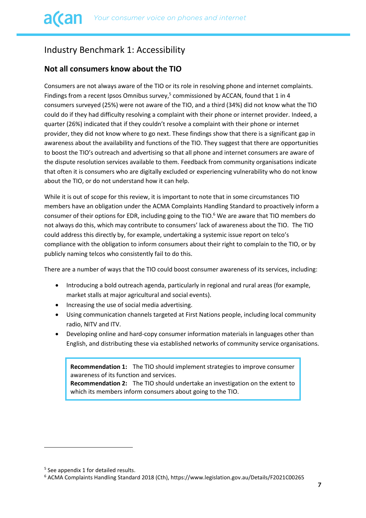# <span id="page-6-0"></span>Industry Benchmark 1: Accessibility

## **Not all consumers know about the TIO**

Consumers are not always aware of the TIO or its role in resolving phone and internet complaints. Findings from a recent Ipsos Omnibus survey,<sup>5</sup> commissioned by ACCAN, found that 1 in 4 consumers surveyed (25%) were not aware of the TIO, and a third (34%) did not know what the TIO could do if they had difficulty resolving a complaint with their phone or internet provider. Indeed, a quarter (26%) indicated that if they couldn't resolve a complaint with their phone or internet provider, they did not know where to go next. These findings show that there is a significant gap in awareness about the availability and functions of the TIO. They suggest that there are opportunities to boost the TIO's outreach and advertising so that all phone and internet consumers are aware of the dispute resolution services available to them. Feedback from community organisations indicate that often it is consumers who are digitally excluded or experiencing vulnerability who do not know about the TIO, or do not understand how it can help.

While it is out of scope for this review, it is important to note that in some circumstances TIO members have an obligation under the ACMA Complaints Handling Standard to proactively inform a consumer of their options for EDR, including going to the TIO.<sup>6</sup> We are aware that TIO members do not always do this, which may contribute to consumers' lack of awareness about the TIO. The TIO could address this directly by, for example, undertaking a systemic issue report on telco's compliance with the obligation to inform consumers about their right to complain to the TIO, or by publicly naming telcos who consistently fail to do this.

There are a number of ways that the TIO could boost consumer awareness of its services, including:

- Introducing a bold outreach agenda, particularly in regional and rural areas (for example, market stalls at major agricultural and social events).
- Increasing the use of social media advertising.
- Using communication channels targeted at First Nations people, including local community radio, NITV and ITV.
- Developing online and hard-copy consumer information materials in languages other than English, and distributing these via established networks of community service organisations.

**Recommendation 1:** The TIO should implement strategies to improve consumer awareness of its function and services. **Recommendation 2:** The TIO should undertake an investigation on the extent to

which its members inform consumers about going to the TIO.

<sup>5</sup> See appendix 1 for detailed results.

<sup>6</sup> ACMA Complaints Handling Standard 2018 (Cth), https://www.legislation.gov.au/Details/F2021C00265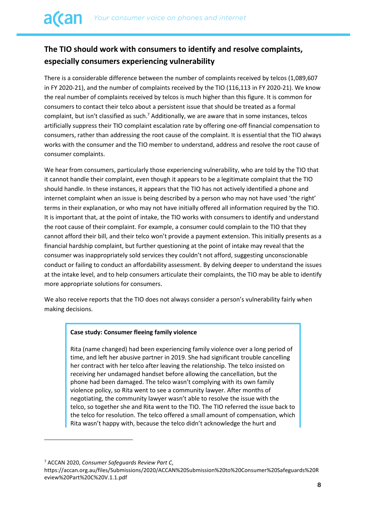# **The TIO should work with consumers to identify and resolve complaints, especially consumers experiencing vulnerability**

There is a considerable difference between the number of complaints received by telcos (1,089,607 in FY 2020-21), and the number of complaints received by the TIO (116,113 in FY 2020-21). We know the real number of complaints received by telcos is much higher than this figure. It is common for consumers to contact their telco about a persistent issue that should be treated as a formal complaint, but isn't classified as such.<sup>7</sup> Additionally, we are aware that in some instances, telcos artificially suppress their TIO complaint escalation rate by offering one-off financial compensation to consumers, rather than addressing the root cause of the complaint. It is essential that the TIO always works with the consumer and the TIO member to understand, address and resolve the root cause of consumer complaints.

We hear from consumers, particularly those experiencing vulnerability, who are told by the TIO that it cannot handle their complaint, even though it appears to be a legitimate complaint that the TIO should handle. In these instances, it appears that the TIO has not actively identified a phone and internet complaint when an issue is being described by a person who may not have used 'the right' terms in their explanation, or who may not have initially offered all information required by the TIO. It is important that, at the point of intake, the TIO works with consumers to identify and understand the root cause of their complaint. For example, a consumer could complain to the TIO that they cannot afford their bill, and their telco won't provide a payment extension. This initially presents as a financial hardship complaint, but further questioning at the point of intake may reveal that the consumer was inappropriately sold services they couldn't not afford, suggesting unconscionable conduct or failing to conduct an affordability assessment. By delving deeper to understand the issues at the intake level, and to help consumers articulate their complaints, the TIO may be able to identify more appropriate solutions for consumers.

We also receive reports that the TIO does not always consider a person's vulnerability fairly when making decisions.

#### **Case study: Consumer fleeing family violence**

Rita (name changed) had been experiencing family violence over a long period of time, and left her abusive partner in 2019. She had significant trouble cancelling her contract with her telco after leaving the relationship. The telco insisted on receiving her undamaged handset before allowing the cancellation, but the phone had been damaged. The telco wasn't complying with its own family violence policy, so Rita went to see a community lawyer. After months of negotiating, the community lawyer wasn't able to resolve the issue with the telco, so together she and Rita went to the TIO. The TIO referred the issue back to the telco for resolution. The telco offered a small amount of compensation, which Rita wasn't happy with, because the telco didn't acknowledge the hurt and

<sup>7</sup> ACCAN 2020, *Consumer Safeguards Review Part C*,

https://accan.org.au/files/Submissions/2020/ACCAN%20Submission%20to%20Consumer%20Safeguards%20R eview%20Part%20C%20V.1.1.pdf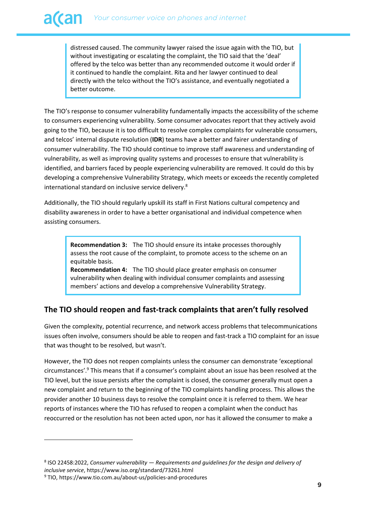distressed caused. The community lawyer raised the issue again with the TIO, but without investigating or escalating the complaint, the TIO said that the 'deal' offered by the telco was better than any recommended outcome it would order if it continued to handle the complaint. Rita and her lawyer continued to deal directly with the telco without the TIO's assistance, and eventually negotiated a better outcome.

The TIO's response to consumer vulnerability fundamentally impacts the accessibility of the scheme to consumers experiencing vulnerability. Some consumer advocates report that they actively avoid going to the TIO, because it is too difficult to resolve complex complaints for vulnerable consumers, and telcos' internal dispute resolution (**IDR**) teams have a better and fairer understanding of consumer vulnerability. The TIO should continue to improve staff awareness and understanding of vulnerability, as well as improving quality systems and processes to ensure that vulnerability is identified, and barriers faced by people experiencing vulnerability are removed. It could do this by developing a comprehensive Vulnerability Strategy, which meets or exceeds the recently completed international standard on inclusive service delivery.<sup>8</sup>

Additionally, the TIO should regularly upskill its staff in First Nations cultural competency and disability awareness in order to have a better organisational and individual competence when assisting consumers.

> **Recommendation 3:** The TIO should ensure its intake processes thoroughly assess the root cause of the complaint, to promote access to the scheme on an equitable basis.

**Recommendation 4:** The TIO should place greater emphasis on consumer vulnerability when dealing with individual consumer complaints and assessing members' actions and develop a comprehensive Vulnerability Strategy.

## **The TIO should reopen and fast-track complaints that aren't fully resolved**

Given the complexity, potential recurrence, and network access problems that telecommunications issues often involve, consumers should be able to reopen and fast-track a TIO complaint for an issue that was thought to be resolved, but wasn't.

However, the TIO does not reopen complaints unless the consumer can demonstrate 'exceptional circumstances'.<sup>9</sup> This means that if a consumer's complaint about an issue has been resolved at the TIO level, but the issue persists after the complaint is closed, the consumer generally must open a new complaint and return to the beginning of the TIO complaints handling process. This allows the provider another 10 business days to resolve the complaint once it is referred to them. We hear reports of instances where the TIO has refused to reopen a complaint when the conduct has reoccurred or the resolution has not been acted upon, nor has it allowed the consumer to make a

<sup>8</sup> ISO 22458:2022, *Consumer vulnerability — Requirements and guidelines for the design and delivery of inclusive service*, https://www.iso.org/standard/73261.html

<sup>9</sup> TIO, https://www.tio.com.au/about-us/policies-and-procedures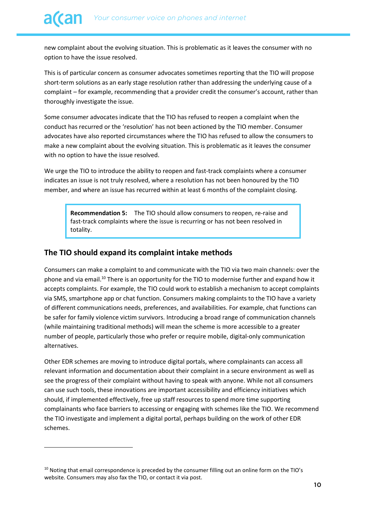new complaint about the evolving situation. This is problematic as it leaves the consumer with no option to have the issue resolved.

This is of particular concern as consumer advocates sometimes reporting that the TIO will propose short-term solutions as an early stage resolution rather than addressing the underlying cause of a complaint – for example, recommending that a provider credit the consumer's account, rather than thoroughly investigate the issue.

Some consumer advocates indicate that the TIO has refused to reopen a complaint when the conduct has recurred or the 'resolution' has not been actioned by the TIO member. Consumer advocates have also reported circumstances where the TIO has refused to allow the consumers to make a new complaint about the evolving situation. This is problematic as it leaves the consumer with no option to have the issue resolved.

We urge the TIO to introduce the ability to reopen and fast-track complaints where a consumer indicates an issue is not truly resolved, where a resolution has not been honoured by the TIO member, and where an issue has recurred within at least 6 months of the complaint closing.

**Recommendation 5:** The TIO should allow consumers to reopen, re-raise and fast-track complaints where the issue is recurring or has not been resolved in totality.

#### **The TIO should expand its complaint intake methods**

Consumers can make a complaint to and communicate with the TIO via two main channels: over the phone and via email.<sup>10</sup> There is an opportunity for the TIO to modernise further and expand how it accepts complaints. For example, the TIO could work to establish a mechanism to accept complaints via SMS, smartphone app or chat function. Consumers making complaints to the TIO have a variety of different communications needs, preferences, and availabilities. For example, chat functions can be safer for family violence victim survivors. Introducing a broad range of communication channels (while maintaining traditional methods) will mean the scheme is more accessible to a greater number of people, particularly those who prefer or require mobile, digital-only communication alternatives.

Other EDR schemes are moving to introduce digital portals, where complainants can access all relevant information and documentation about their complaint in a secure environment as well as see the progress of their complaint without having to speak with anyone. While not all consumers can use such tools, these innovations are important accessibility and efficiency initiatives which should, if implemented effectively, free up staff resources to spend more time supporting complainants who face barriers to accessing or engaging with schemes like the TIO. We recommend the TIO investigate and implement a digital portal, perhaps building on the work of other EDR schemes.

<sup>&</sup>lt;sup>10</sup> Noting that email correspondence is preceded by the consumer filling out an online form on the TIO's website. Consumers may also fax the TIO, or contact it via post.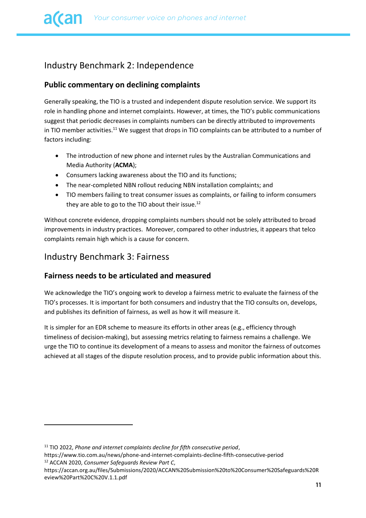# <span id="page-10-0"></span>Industry Benchmark 2: Independence

## **Public commentary on declining complaints**

Generally speaking, the TIO is a trusted and independent dispute resolution service. We support its role in handling phone and internet complaints. However, at times, the TIO's public communications suggest that periodic decreases in complaints numbers can be directly attributed to improvements in TIO member activities.<sup>11</sup> We suggest that drops in TIO complaints can be attributed to a number of factors including:

- The introduction of new phone and internet rules by the Australian Communications and Media Authority (**ACMA**);
- Consumers lacking awareness about the TIO and its functions;
- The near-completed NBN rollout reducing NBN installation complaints; and
- TIO members failing to treat consumer issues as complaints, or failing to inform consumers they are able to go to the TIO about their issue.<sup>12</sup>

Without concrete evidence, dropping complaints numbers should not be solely attributed to broad improvements in industry practices. Moreover, compared to other industries, it appears that telco complaints remain high which is a cause for concern.

# <span id="page-10-1"></span>Industry Benchmark 3: Fairness

### **Fairness needs to be articulated and measured**

We acknowledge the TIO's ongoing work to develop a fairness metric to evaluate the fairness of the TIO's processes. It is important for both consumers and industry that the TIO consults on, develops, and publishes its definition of fairness, as well as how it will measure it.

It is simpler for an EDR scheme to measure its efforts in other areas (e.g., efficiency through timeliness of decision-making), but assessing metrics relating to fairness remains a challenge. We urge the TIO to continue its development of a means to assess and monitor the fairness of outcomes achieved at all stages of the dispute resolution process, and to provide public information about this.

https://www.tio.com.au/news/phone-and-internet-complaints-decline-fifth-consecutive-period <sup>12</sup> ACCAN 2020, *Consumer Safeguards Review Part C*,

<sup>11</sup> TIO 2022, *Phone and internet complaints decline for fifth consecutive period*,

https://accan.org.au/files/Submissions/2020/ACCAN%20Submission%20to%20Consumer%20Safeguards%20R eview%20Part%20C%20V.1.1.pdf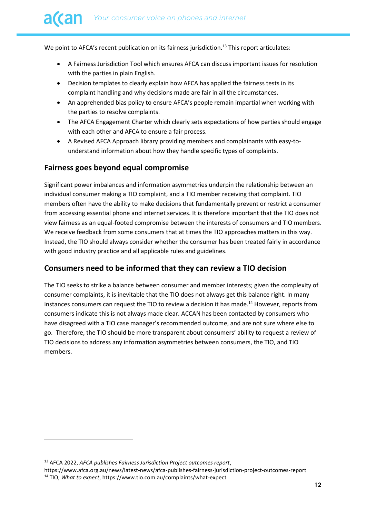We point to AFCA's recent publication on its fairness jurisdiction.<sup>13</sup> This report articulates:

- A Fairness Jurisdiction Tool which ensures AFCA can discuss important issues for resolution with the parties in plain English.
- Decision templates to clearly explain how AFCA has applied the fairness tests in its complaint handling and why decisions made are fair in all the circumstances.
- An apprehended bias policy to ensure AFCA's people remain impartial when working with the parties to resolve complaints.
- The AFCA Engagement Charter which clearly sets expectations of how parties should engage with each other and AFCA to ensure a fair process.
- A Revised AFCA Approach library providing members and complainants with easy-tounderstand information about how they handle specific types of complaints.

## **Fairness goes beyond equal compromise**

Significant power imbalances and information asymmetries underpin the relationship between an individual consumer making a TIO complaint, and a TIO member receiving that complaint. TIO members often have the ability to make decisions that fundamentally prevent or restrict a consumer from accessing essential phone and internet services. It is therefore important that the TIO does not view fairness as an equal-footed compromise between the interests of consumers and TIO members. We receive feedback from some consumers that at times the TIO approaches matters in this way. Instead, the TIO should always consider whether the consumer has been treated fairly in accordance with good industry practice and all applicable rules and guidelines.

### **Consumers need to be informed that they can review a TIO decision**

The TIO seeks to strike a balance between consumer and member interests; given the complexity of consumer complaints, it is inevitable that the TIO does not always get this balance right. In many instances consumers can request the TIO to review a decision it has made. <sup>14</sup> However, reports from consumers indicate this is not always made clear. ACCAN has been contacted by consumers who have disagreed with a TIO case manager's recommended outcome, and are not sure where else to go. Therefore, the TIO should be more transparent about consumers' ability to request a review of TIO decisions to address any information asymmetries between consumers, the TIO, and TIO members.

https://www.afca.org.au/news/latest-news/afca-publishes-fairness-jurisdiction-project-outcomes-report <sup>14</sup> TIO, *What to expect*, https://www.tio.com.au/complaints/what-expect

<sup>13</sup> AFCA 2022, *AFCA publishes Fairness Jurisdiction Project outcomes report*,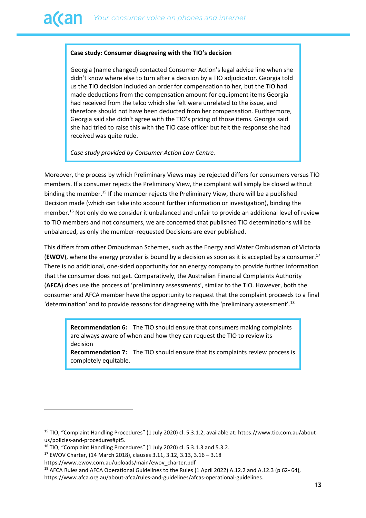#### **Case study: Consumer disagreeing with the TIO's decision**

Georgia (name changed) contacted Consumer Action's legal advice line when she didn't know where else to turn after a decision by a TIO adjudicator. Georgia told us the TIO decision included an order for compensation to her, but the TIO had made deductions from the compensation amount for equipment items Georgia had received from the telco which she felt were unrelated to the issue, and therefore should not have been deducted from her compensation. Furthermore, Georgia said she didn't agree with the TIO's pricing of those items. Georgia said she had tried to raise this with the TIO case officer but felt the response she had received was quite rude.

*Case study provided by Consumer Action Law Centre.*

Moreover, the process by which Preliminary Views may be rejected differs for consumers versus TIO members. If a consumer rejects the Preliminary View, the complaint will simply be closed without binding the member.<sup>15</sup> If the member rejects the Preliminary View, there will be a published Decision made (which can take into account further information or investigation), binding the member. <sup>16</sup> Not only do we consider it unbalanced and unfair to provide an additional level of review to TIO members and not consumers, we are concerned that published TIO determinations will be unbalanced, as only the member-requested Decisions are ever published.

This differs from other Ombudsman Schemes, such as the Energy and Water Ombudsman of Victoria (**EWOV**), where the energy provider is bound by a decision as soon as it is accepted by a consumer.<sup>17</sup> There is no additional, one-sided opportunity for an energy company to provide further information that the consumer does not get. Comparatively, the Australian Financial Complaints Authority (**AFCA**) does use the process of 'preliminary assessments', similar to the TIO. However, both the consumer and AFCA member have the opportunity to request that the complaint proceeds to a final 'determination' and to provide reasons for disagreeing with the 'preliminary assessment'.<sup>18</sup>

**Recommendation 6:** The TIO should ensure that consumers making complaints are always aware of when and how they can request the TIO to review its decision

**Recommendation 7:** The TIO should ensure that its complaints review process is completely equitable.

<sup>15</sup> TIO, "Complaint Handling Procedures" (1 July 2020) cl. 5.3.1.2, available at: https://www.tio.com.au/aboutus/policies-and-procedures#pt5.

<sup>&</sup>lt;sup>16</sup> TIO, "Complaint Handling Procedures" (1 July 2020) cl. 5.3.1.3 and 5.3.2.

<sup>17</sup> EWOV Charter, (14 March 2018), clauses 3.11, 3.12, 3.13, 3.16 – 3.18

https://www.ewov.com.au/uploads/main/ewov\_charter.pdf

<sup>&</sup>lt;sup>18</sup> AFCA Rules and AFCA Operational Guidelines to the Rules (1 April 2022) A.12.2 and A.12.3 (p 62-64),

https://www.afca.org.au/about-afca/rules-and-guidelines/afcas-operational-guidelines.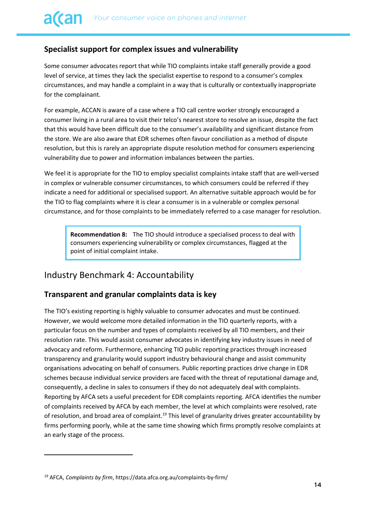## **Specialist support for complex issues and vulnerability**

Some consumer advocates report that while TIO complaints intake staff generally provide a good level of service, at times they lack the specialist expertise to respond to a consumer's complex circumstances, and may handle a complaint in a way that is culturally or contextually inappropriate for the complainant.

For example, ACCAN is aware of a case where a TIO call centre worker strongly encouraged a consumer living in a rural area to visit their telco's nearest store to resolve an issue, despite the fact that this would have been difficult due to the consumer's availability and significant distance from the store. We are also aware that EDR schemes often favour conciliation as a method of dispute resolution, but this is rarely an appropriate dispute resolution method for consumers experiencing vulnerability due to power and information imbalances between the parties.

We feel it is appropriate for the TIO to employ specialist complaints intake staff that are well-versed in complex or vulnerable consumer circumstances, to which consumers could be referred if they indicate a need for additional or specialised support. An alternative suitable approach would be for the TIO to flag complaints where it is clear a consumer is in a vulnerable or complex personal circumstance, and for those complaints to be immediately referred to a case manager for resolution.

**Recommendation 8:** The TIO should introduce a specialised process to deal with consumers experiencing vulnerability or complex circumstances, flagged at the point of initial complaint intake.

# <span id="page-13-0"></span>Industry Benchmark 4: Accountability

### **Transparent and granular complaints data is key**

The TIO's existing reporting is highly valuable to consumer advocates and must be continued. However, we would welcome more detailed information in the TIO quarterly reports, with a particular focus on the number and types of complaints received by all TIO members, and their resolution rate. This would assist consumer advocates in identifying key industry issues in need of advocacy and reform. Furthermore, enhancing TIO public reporting practices through increased transparency and granularity would support industry behavioural change and assist community organisations advocating on behalf of consumers. Public reporting practices drive change in EDR schemes because individual service providers are faced with the threat of reputational damage and, consequently, a decline in sales to consumers if they do not adequately deal with complaints. Reporting by AFCA sets a useful precedent for EDR complaints reporting. AFCA identifies the number of complaints received by AFCA by each member, the level at which complaints were resolved, rate of resolution, and broad area of complaint.<sup>19</sup> This level of granularity drives greater accountability by firms performing poorly, while at the same time showing which firms promptly resolve complaints at an early stage of the process.

<sup>19</sup> AFCA, *Complaints by firm*, https://data.afca.org.au/complaints-by-firm/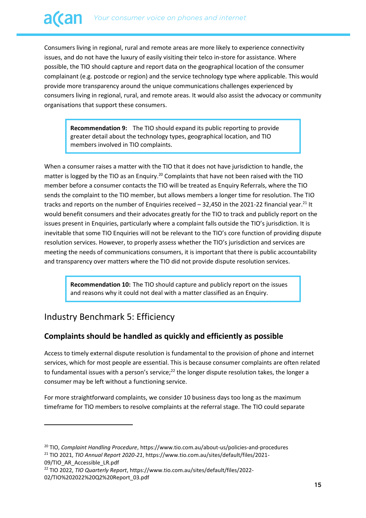Consumers living in regional, rural and remote areas are more likely to experience connectivity issues, and do not have the luxury of easily visiting their telco in-store for assistance. Where possible, the TIO should capture and report data on the geographical location of the consumer complainant (e.g. postcode or region) and the service technology type where applicable. This would provide more transparency around the unique communications challenges experienced by consumers living in regional, rural, and remote areas. It would also assist the advocacy or community organisations that support these consumers.

**Recommendation 9:** The TIO should expand its public reporting to provide greater detail about the technology types, geographical location, and TIO members involved in TIO complaints.

When a consumer raises a matter with the TIO that it does not have jurisdiction to handle, the matter is logged by the TIO as an Enquiry.<sup>20</sup> Complaints that have not been raised with the TIO member before a consumer contacts the TIO will be treated as Enquiry Referrals, where the TIO sends the complaint to the TIO member, but allows members a longer time for resolution. The TIO tracks and reports on the number of Enquiries received  $-32,450$  in the 2021-22 financial year.<sup>21</sup> It would benefit consumers and their advocates greatly for the TIO to track and publicly report on the issues present in Enquiries, particularly where a complaint falls outside the TIO's jurisdiction. It is inevitable that some TIO Enquiries will not be relevant to the TIO's core function of providing dispute resolution services. However, to properly assess whether the TIO's jurisdiction and services are meeting the needs of communications consumers, it is important that there is public accountability and transparency over matters where the TIO did not provide dispute resolution services.

**Recommendation 10:** The TIO should capture and publicly report on the issues and reasons why it could not deal with a matter classified as an Enquiry.

# <span id="page-14-0"></span>Industry Benchmark 5: Efficiency

## **Complaints should be handled as quickly and efficiently as possible**

Access to timely external dispute resolution is fundamental to the provision of phone and internet services, which for most people are essential. This is because consumer complaints are often related to fundamental issues with a person's service; $22$  the longer dispute resolution takes, the longer a consumer may be left without a functioning service.

For more straightforward complaints, we consider 10 business days too long as the maximum timeframe for TIO members to resolve complaints at the referral stage. The TIO could separate

<sup>20</sup> TIO, *Complaint Handling Procedure*, https://www.tio.com.au/about-us/policies-and-procedures <sup>21</sup> TIO 2021, *TIO Annual Report 2020-21*, https://www.tio.com.au/sites/default/files/2021- 09/TIO\_AR\_Accessible\_LR.pdf

<sup>22</sup> TIO 2022, *TIO Quarterly Report*, https://www.tio.com.au/sites/default/files/2022- 02/TIO%202022%20Q2%20Report\_03.pdf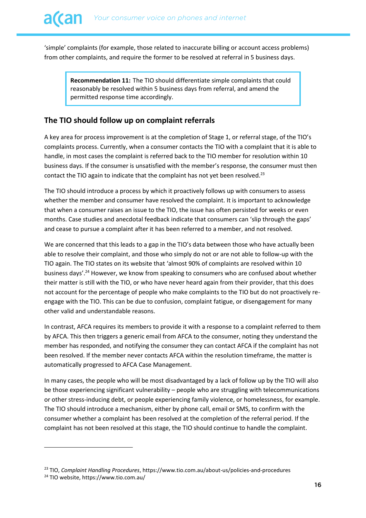'simple' complaints (for example, those related to inaccurate billing or account access problems) from other complaints, and require the former to be resolved at referral in 5 business days.

**Recommendation 11:** The TIO should differentiate simple complaints that could reasonably be resolved within 5 business days from referral, and amend the permitted response time accordingly.

## **The TIO should follow up on complaint referrals**

A key area for process improvement is at the completion of Stage 1, or referral stage, of the TIO's complaints process. Currently, when a consumer contacts the TIO with a complaint that it is able to handle, in most cases the complaint is referred back to the TIO member for resolution within 10 business days. If the consumer is unsatisfied with the member's response, the consumer must then contact the TIO again to indicate that the complaint has not yet been resolved. $^{23}$ 

The TIO should introduce a process by which it proactively follows up with consumers to assess whether the member and consumer have resolved the complaint. It is important to acknowledge that when a consumer raises an issue to the TIO, the issue has often persisted for weeks or even months. Case studies and anecdotal feedback indicate that consumers can 'slip through the gaps' and cease to pursue a complaint after it has been referred to a member, and not resolved.

We are concerned that this leads to a gap in the TIO's data between those who have actually been able to resolve their complaint, and those who simply do not or are not able to follow-up with the TIO again. The TIO states on its website that 'almost 90% of complaints are resolved within 10 business days'.<sup>24</sup> However, we know from speaking to consumers who are confused about whether their matter is still with the TIO, or who have never heard again from their provider, that this does not account for the percentage of people who make complaints to the TIO but do not proactively reengage with the TIO. This can be due to confusion, complaint fatigue, or disengagement for many other valid and understandable reasons.

In contrast, AFCA requires its members to provide it with a response to a complaint referred to them by AFCA. This then triggers a generic email from AFCA to the consumer, noting they understand the member has responded, and notifying the consumer they can contact AFCA if the complaint has not been resolved. If the member never contacts AFCA within the resolution timeframe, the matter is automatically progressed to AFCA Case Management.

In many cases, the people who will be most disadvantaged by a lack of follow up by the TIO will also be those experiencing significant vulnerability – people who are struggling with telecommunications or other stress-inducing debt, or people experiencing family violence, or homelessness, for example. The TIO should introduce a mechanism, either by phone call, email or SMS, to confirm with the consumer whether a complaint has been resolved at the completion of the referral period. If the complaint has not been resolved at this stage, the TIO should continue to handle the complaint.

<sup>23</sup> TIO, *Complaint Handling Procedures*, https://www.tio.com.au/about-us/policies-and-procedures

<sup>24</sup> TIO website, https://www.tio.com.au/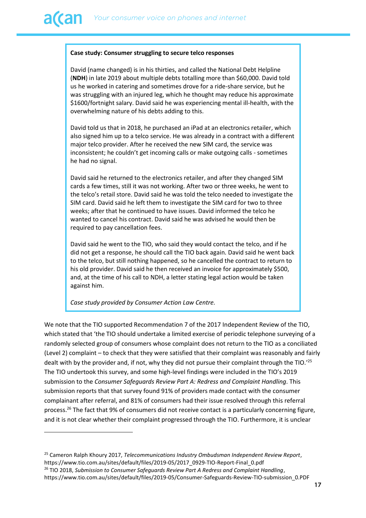#### **Case study: Consumer struggling to secure telco responses**

David (name changed) is in his thirties, and called the National Debt Helpline (**NDH**) in late 2019 about multiple debts totalling more than \$60,000. David told us he worked in catering and sometimes drove for a ride-share service, but he was struggling with an injured leg, which he thought may reduce his approximate \$1600/fortnight salary. David said he was experiencing mental ill-health, with the overwhelming nature of his debts adding to this.

David told us that in 2018, he purchased an iPad at an electronics retailer, which also signed him up to a telco service. He was already in a contract with a different major telco provider. After he received the new SIM card, the service was inconsistent; he couldn't get incoming calls or make outgoing calls - sometimes he had no signal.

David said he returned to the electronics retailer, and after they changed SIM cards a few times, still it was not working. After two or three weeks, he went to the telco's retail store. David said he was told the telco needed to investigate the SIM card. David said he left them to investigate the SIM card for two to three weeks; after that he continued to have issues. David informed the telco he wanted to cancel his contract. David said he was advised he would then be required to pay cancellation fees.

David said he went to the TIO, who said they would contact the telco, and if he did not get a response, he should call the TIO back again. David said he went back to the telco, but still nothing happened, so he cancelled the contract to return to his old provider. David said he then received an invoice for approximately \$500, and, at the time of his call to NDH, a letter stating legal action would be taken against him.

*Case study provided by Consumer Action Law Centre.*

We note that the TIO supported Recommendation 7 of the 2017 Independent Review of the TIO, which stated that 'the TIO should undertake a limited exercise of periodic telephone surveying of a randomly selected group of consumers whose complaint does not return to the TIO as a conciliated (Level 2) complaint – to check that they were satisfied that their complaint was reasonably and fairly dealt with by the provider and, if not, why they did not pursue their complaint through the TIO.'<sup>25</sup> The TIO undertook this survey, and some high-level findings were included in the TIO's 2019 submission to the *Consumer Safeguards Review Part A: Redress and Complaint Handling*. This submission reports that that survey found 91% of providers made contact with the consumer complainant after referral, and 81% of consumers had their issue resolved through this referral process.<sup>26</sup> The fact that 9% of consumers did not receive contact is a particularly concerning figure, and it is not clear whether their complaint progressed through the TIO. Furthermore, it is unclear

<sup>25</sup> Cameron Ralph Khoury 2017, *Telecommunications Industry Ombudsman Independent Review Report*, https://www.tio.com.au/sites/default/files/2019-05/2017\_0929-TIO-Report-Final\_0.pdf

<sup>26</sup> TIO 2018, *Submission to Consumer Safeguards Review Part A Redress and Complaint Handling*, https://www.tio.com.au/sites/default/files/2019-05/Consumer-Safeguards-Review-TIO-submission\_0.PDF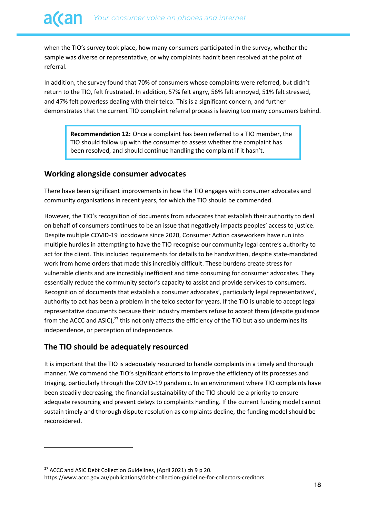when the TIO's survey took place, how many consumers participated in the survey, whether the sample was diverse or representative, or why complaints hadn't been resolved at the point of referral.

In addition, the survey found that 70% of consumers whose complaints were referred, but didn't return to the TIO, felt frustrated. In addition, 57% felt angry, 56% felt annoyed, 51% felt stressed, and 47% felt powerless dealing with their telco. This is a significant concern, and further demonstrates that the current TIO complaint referral process is leaving too many consumers behind.

**Recommendation 12:** Once a complaint has been referred to a TIO member, the TIO should follow up with the consumer to assess whether the complaint has been resolved, and should continue handling the complaint if it hasn't.

#### **Working alongside consumer advocates**

There have been significant improvements in how the TIO engages with consumer advocates and community organisations in recent years, for which the TIO should be commended.

However, the TIO's recognition of documents from advocates that establish their authority to deal on behalf of consumers continues to be an issue that negatively impacts peoples' access to justice. Despite multiple COVID-19 lockdowns since 2020, Consumer Action caseworkers have run into multiple hurdles in attempting to have the TIO recognise our community legal centre's authority to act for the client. This included requirements for details to be handwritten, despite state-mandated work from home orders that made this incredibly difficult. These burdens create stress for vulnerable clients and are incredibly inefficient and time consuming for consumer advocates. They essentially reduce the community sector's capacity to assist and provide services to consumers. Recognition of documents that establish a consumer advocates', particularly legal representatives', authority to act has been a problem in the telco sector for years. If the TIO is unable to accept legal representative documents because their industry members refuse to accept them (despite guidance from the ACCC and ASIC),<sup>27</sup> this not only affects the efficiency of the TIO but also undermines its independence, or perception of independence.

### **The TIO should be adequately resourced**

It is important that the TIO is adequately resourced to handle complaints in a timely and thorough manner. We commend the TIO's significant efforts to improve the efficiency of its processes and triaging, particularly through the COVID-19 pandemic. In an environment where TIO complaints have been steadily decreasing, the financial sustainability of the TIO should be a priority to ensure adequate resourcing and prevent delays to complaints handling. If the current funding model cannot sustain timely and thorough dispute resolution as complaints decline, the funding model should be reconsidered.

<sup>&</sup>lt;sup>27</sup> ACCC and ASIC Debt Collection Guidelines, (April 2021) ch 9 p 20. https://www.accc.gov.au/publications/debt-collection-guideline-for-collectors-creditors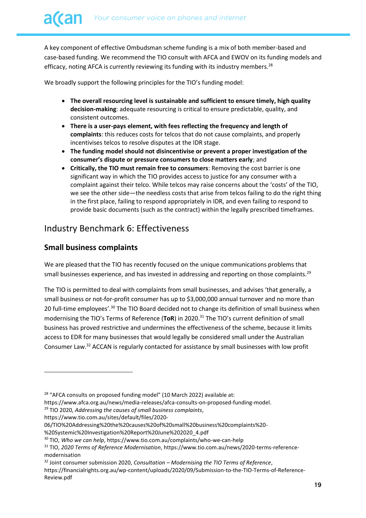A key component of effective Ombudsman scheme funding is a mix of both member-based and case-based funding. We recommend the TIO consult with AFCA and EWOV on its funding models and efficacy, noting AFCA is currently reviewing its funding with its industry members.<sup>28</sup>

We broadly support the following principles for the TIO's funding model:

- **The overall resourcing level is sustainable and sufficient to ensure timely, high quality decision-making**: adequate resourcing is critical to ensure predictable, quality, and consistent outcomes.
- **There is a user-pays element, with fees reflecting the frequency and length of complaints**: this reduces costs for telcos that do not cause complaints, and properly incentivises telcos to resolve disputes at the IDR stage.
- **The funding model should not disincentivise or prevent a proper investigation of the consumer's dispute or pressure consumers to close matters early**; and
- **Critically, the TIO must remain free to consumers**: Removing the cost barrier is one significant way in which the TIO provides access to justice for any consumer with a complaint against their telco. While telcos may raise concerns about the 'costs' of the TIO, we see the other side—the needless costs that arise from telcos failing to do the right thing in the first place, failing to respond appropriately in IDR, and even failing to respond to provide basic documents (such as the contract) within the legally prescribed timeframes.

# <span id="page-18-0"></span>Industry Benchmark 6: Effectiveness

## **Small business complaints**

We are pleased that the TIO has recently focused on the unique communications problems that small businesses experience, and has invested in addressing and reporting on those complaints.<sup>29</sup>

The TIO is permitted to deal with complaints from small businesses, and advises 'that generally, a small business or not-for-profit consumer has up to \$3,000,000 annual turnover and no more than 20 full-time employees'.<sup>30</sup> The TIO Board decided not to change its definition of small business when modernising the TIO's Terms of Reference (**ToR**) in 2020. <sup>31</sup> The TIO's current definition of small business has proved restrictive and undermines the effectiveness of the scheme, because it limits access to EDR for many businesses that would legally be considered small under the Australian Consumer Law. <sup>32</sup> ACCAN is regularly contacted for assistance by small businesses with low profit

https://www.tio.com.au/sites/default/files/2020-

<sup>&</sup>lt;sup>28</sup> "AFCA consults on proposed funding model" (10 March 2022) available at:

https://www.afca.org.au/news/media-releases/afca-consults-on-proposed-funding-model.

<sup>29</sup> TIO 2020, *Addressing the causes of small business complaints*,

<sup>06/</sup>TIO%20Addressing%20the%20causes%20of%20small%20business%20complaints%20-

<sup>%20</sup>Systemic%20Investigation%20Report%20June%202020\_4.pdf

<sup>30</sup> TIO, *Who we can help*, https://www.tio.com.au/complaints/who-we-can-help

<sup>31</sup> TIO, *2020 Terms of Reference Modernisation*, https://www.tio.com.au/news/2020-terms-referencemodernisation

<sup>32</sup> Joint consumer submission 2020, *Consultation – Modernising the TIO Terms of Reference*,

https://financialrights.org.au/wp-content/uploads/2020/09/Submission-to-the-TIO-Terms-of-Reference-Review.pdf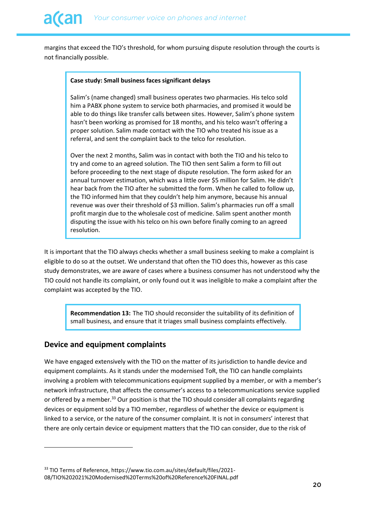margins that exceed the TIO's threshold, for whom pursuing dispute resolution through the courts is not financially possible.

#### **Case study: Small business faces significant delays**

Salim's (name changed) small business operates two pharmacies. His telco sold him a PABX phone system to service both pharmacies, and promised it would be able to do things like transfer calls between sites. However, Salim's phone system hasn't been working as promised for 18 months, and his telco wasn't offering a proper solution. Salim made contact with the TIO who treated his issue as a referral, and sent the complaint back to the telco for resolution.

Over the next 2 months, Salim was in contact with both the TIO and his telco to try and come to an agreed solution. The TIO then sent Salim a form to fill out before proceeding to the next stage of dispute resolution. The form asked for an annual turnover estimation, which was a little over \$5 million for Salim. He didn't hear back from the TIO after he submitted the form. When he called to follow up, the TIO informed him that they couldn't help him anymore, because his annual revenue was over their threshold of \$3 million. Salim's pharmacies run off a small profit margin due to the wholesale cost of medicine. Salim spent another month disputing the issue with his telco on his own before finally coming to an agreed resolution.

It is important that the TIO always checks whether a small business seeking to make a complaint is eligible to do so at the outset. We understand that often the TIO does this, however as this case study demonstrates, we are aware of cases where a business consumer has not understood why the TIO could not handle its complaint, or only found out it was ineligible to make a complaint after the complaint was accepted by the TIO.

**Recommendation 13:** The TIO should reconsider the suitability of its definition of small business, and ensure that it triages small business complaints effectively.

#### **Device and equipment complaints**

We have engaged extensively with the TIO on the matter of its jurisdiction to handle device and equipment complaints. As it stands under the modernised ToR, the TIO can handle complaints involving a problem with telecommunications equipment supplied by a member, or with a member's network infrastructure, that affects the consumer's access to a telecommunications service supplied or offered by a member.<sup>33</sup> Our position is that the TIO should consider all complaints regarding devices or equipment sold by a TIO member, regardless of whether the device or equipment is linked to a service, or the nature of the consumer complaint. It is not in consumers' interest that there are only certain device or equipment matters that the TIO can consider, due to the risk of

<sup>&</sup>lt;sup>33</sup> TIO Terms of Reference, https://www.tio.com.au/sites/default/files/2021-08/TIO%202021%20Modernised%20Terms%20of%20Reference%20FINAL.pdf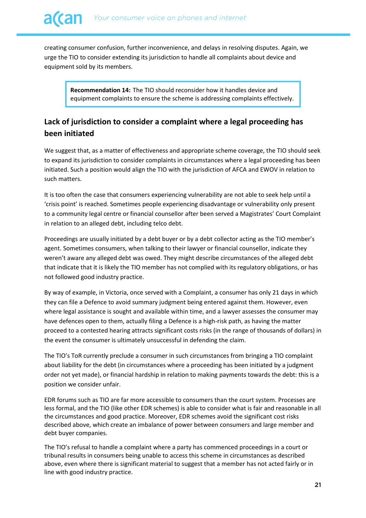creating consumer confusion, further inconvenience, and delays in resolving disputes. Again, we urge the TIO to consider extending its jurisdiction to handle all complaints about device and equipment sold by its members.

**Recommendation 14:** The TIO should reconsider how it handles device and equipment complaints to ensure the scheme is addressing complaints effectively.

# **Lack of jurisdiction to consider a complaint where a legal proceeding has been initiated**

We suggest that, as a matter of effectiveness and appropriate scheme coverage, the TIO should seek to expand its jurisdiction to consider complaints in circumstances where a legal proceeding has been initiated. Such a position would align the TIO with the jurisdiction of AFCA and EWOV in relation to such matters.

It is too often the case that consumers experiencing vulnerability are not able to seek help until a 'crisis point' is reached. Sometimes people experiencing disadvantage or vulnerability only present to a community legal centre or financial counsellor after been served a Magistrates' Court Complaint in relation to an alleged debt, including telco debt.

Proceedings are usually initiated by a debt buyer or by a debt collector acting as the TIO member's agent. Sometimes consumers, when talking to their lawyer or financial counsellor, indicate they weren't aware any alleged debt was owed. They might describe circumstances of the alleged debt that indicate that it is likely the TIO member has not complied with its regulatory obligations, or has not followed good industry practice.

By way of example, in Victoria, once served with a Complaint, a consumer has only 21 days in which they can file a Defence to avoid summary judgment being entered against them. However, even where legal assistance is sought and available within time, and a lawyer assesses the consumer may have defences open to them, actually filing a Defence is a high-risk path, as having the matter proceed to a contested hearing attracts significant costs risks (in the range of thousands of dollars) in the event the consumer is ultimately unsuccessful in defending the claim.

The TIO's ToR currently preclude a consumer in such circumstances from bringing a TIO complaint about liability for the debt (in circumstances where a proceeding has been initiated by a judgment order not yet made), or financial hardship in relation to making payments towards the debt: this is a position we consider unfair.

EDR forums such as TIO are far more accessible to consumers than the court system. Processes are less formal, and the TIO (like other EDR schemes) is able to consider what is fair and reasonable in all the circumstances and good practice. Moreover, EDR schemes avoid the significant cost risks described above, which create an imbalance of power between consumers and large member and debt buyer companies.

The TIO's refusal to handle a complaint where a party has commenced proceedings in a court or tribunal results in consumers being unable to access this scheme in circumstances as described above, even where there is significant material to suggest that a member has not acted fairly or in line with good industry practice.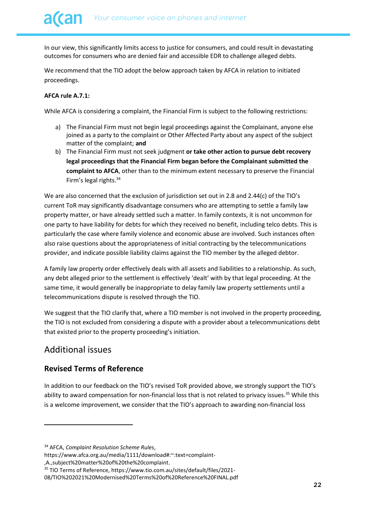In our view, this significantly limits access to justice for consumers, and could result in devastating outcomes for consumers who are denied fair and accessible EDR to challenge alleged debts.

We recommend that the TIO adopt the below approach taken by AFCA in relation to initiated proceedings.

#### **AFCA rule A.7.1:**

While AFCA is considering a complaint, the Financial Firm is subject to the following restrictions:

- a) The Financial Firm must not begin legal proceedings against the Complainant, anyone else joined as a party to the complaint or Other Affected Party about any aspect of the subject matter of the complaint; **and**
- b) The Financial Firm must not seek judgment **or take other action to pursue debt recovery legal proceedings that the Financial Firm began before the Complainant submitted the complaint to AFCA**, other than to the minimum extent necessary to preserve the Financial Firm's legal rights.<sup>34</sup>

We are also concerned that the exclusion of jurisdiction set out in 2.8 and 2.44(c) of the TIO's current ToR may significantly disadvantage consumers who are attempting to settle a family law property matter, or have already settled such a matter. In family contexts, it is not uncommon for one party to have liability for debts for which they received no benefit, including telco debts. This is particularly the case where family violence and economic abuse are involved. Such instances often also raise questions about the appropriateness of initial contracting by the telecommunications provider, and indicate possible liability claims against the TIO member by the alleged debtor.

A family law property order effectively deals with all assets and liabilities to a relationship. As such, any debt alleged prior to the settlement is effectively 'dealt' with by that legal proceeding. At the same time, it would generally be inappropriate to delay family law property settlements until a telecommunications dispute is resolved through the TIO.

We suggest that the TIO clarify that, where a TIO member is not involved in the property proceeding, the TIO is not excluded from considering a dispute with a provider about a telecommunications debt that existed prior to the property proceeding's initiation.

# <span id="page-21-0"></span>Additional issues

### **Revised Terms of Reference**

In addition to our feedback on the TIO's revised ToR provided above, we strongly support the TIO's ability to award compensation for non-financial loss that is not related to privacy issues.<sup>35</sup> While this is a welcome improvement, we consider that the TIO's approach to awarding non-financial loss

,A.,subject%20matter%20of%20the%20complaint.

<sup>34</sup> AFCA, *Complaint Resolution Scheme Rules*,

https://www.afca.org.au/media/1111/download#:~:text=complaint-

<sup>35</sup> TIO Terms of Reference, https://www.tio.com.au/sites/default/files/2021-

<sup>08/</sup>TIO%202021%20Modernised%20Terms%20of%20Reference%20FINAL.pdf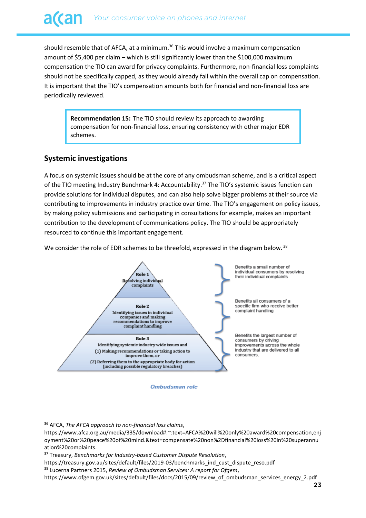should resemble that of AFCA, at a minimum.<sup>36</sup> This would involve a maximum compensation amount of \$5,400 per claim – which is still significantly lower than the \$100,000 maximum compensation the TIO can award for privacy complaints. Furthermore, non-financial loss complaints should not be specifically capped, as they would already fall within the overall cap on compensation. It is important that the TIO's compensation amounts both for financial and non-financial loss are periodically reviewed.

**Recommendation 15:** The TIO should review its approach to awarding compensation for non-financial loss, ensuring consistency with other major EDR schemes.

#### **Systemic investigations**

A focus on systemic issues should be at the core of any ombudsman scheme, and is a critical aspect of the TIO meeting Industry Benchmark 4: Accountability.<sup>37</sup> The TIO's systemic issues function can provide solutions for individual disputes, and can also help solve bigger problems at their source via contributing to improvements in industry practice over time. The TIO's engagement on policy issues, by making policy submissions and participating in consultations for example, makes an important contribution to the development of communications policy. The TIO should be appropriately resourced to continue this important engagement.

We consider the role of EDR schemes to be threefold, expressed in the diagram below.<sup>38</sup>



<sup>36</sup> AFCA, *The AFCA approach to non-financial loss claims*,

https://www.afca.org.au/media/335/download#:~:text=AFCA%20will%20only%20award%20compensation,enj oyment%20or%20peace%20of%20mind.&text=compensate%20non%2Dfinancial%20loss%20in%20superannu ation%20complaints.

<sup>37</sup> Treasury, *Benchmarks for Industry-based Customer Dispute Resolution*,

https://treasury.gov.au/sites/default/files/2019-03/benchmarks\_ind\_cust\_dispute\_reso.pdf

<sup>38</sup> Lucerna Partners 2015, *Review of Ombudsman Services: A report for Ofgem*,

https://www.ofgem.gov.uk/sites/default/files/docs/2015/09/review\_of\_ombudsman\_services\_energy\_2.pdf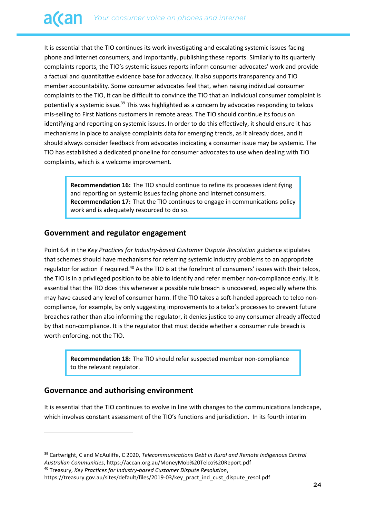It is essential that the TIO continues its work investigating and escalating systemic issues facing phone and internet consumers, and importantly, publishing these reports. Similarly to its quarterly complaints reports, the TIO's systemic issues reports inform consumer advocates' work and provide a factual and quantitative evidence base for advocacy. It also supports transparency and TIO member accountability. Some consumer advocates feel that, when raising individual consumer complaints to the TIO, it can be difficult to convince the TIO that an individual consumer complaint is potentially a systemic issue.<sup>39</sup> This was highlighted as a concern by advocates responding to telcos mis-selling to First Nations customers in remote areas. The TIO should continue its focus on identifying and reporting on systemic issues. In order to do this effectively, it should ensure it has mechanisms in place to analyse complaints data for emerging trends, as it already does, and it should always consider feedback from advocates indicating a consumer issue may be systemic. The TIO has established a dedicated phoneline for consumer advocates to use when dealing with TIO complaints, which is a welcome improvement.

**Recommendation 16:** The TIO should continue to refine its processes identifying and reporting on systemic issues facing phone and internet consumers. **Recommendation 17:** That the TIO continues to engage in communications policy work and is adequately resourced to do so.

#### **Government and regulator engagement**

Point 6.4 in the *Key Practices for Industry-based Customer Dispute Resolution* guidance stipulates that schemes should have mechanisms for referring systemic industry problems to an appropriate regulator for action if required.<sup>40</sup> As the TIO is at the forefront of consumers' issues with their telcos, the TIO is in a privileged position to be able to identify and refer member non-compliance early. It is essential that the TIO does this whenever a possible rule breach is uncovered, especially where this may have caused any level of consumer harm. If the TIO takes a soft-handed approach to telco noncompliance, for example, by only suggesting improvements to a telco's processes to prevent future breaches rather than also informing the regulator, it denies justice to any consumer already affected by that non-compliance. It is the regulator that must decide whether a consumer rule breach is worth enforcing, not the TIO.

**Recommendation 18:** The TIO should refer suspected member non-compliance to the relevant regulator.

#### **Governance and authorising environment**

It is essential that the TIO continues to evolve in line with changes to the communications landscape, which involves constant assessment of the TIO's functions and jurisdiction. In its fourth interim

<sup>40</sup> Treasury, *Key Practices for Industry-based Customer Dispute Resolution*,

<sup>39</sup> Cartwright, C and McAuliffe, C 2020, *Telecommunications Debt in Rural and Remote Indigenous Central Australian Communities*, https://accan.org.au/MoneyMob%20Telco%20Report.pdf

https://treasury.gov.au/sites/default/files/2019-03/key\_pract\_ind\_cust\_dispute\_resol.pdf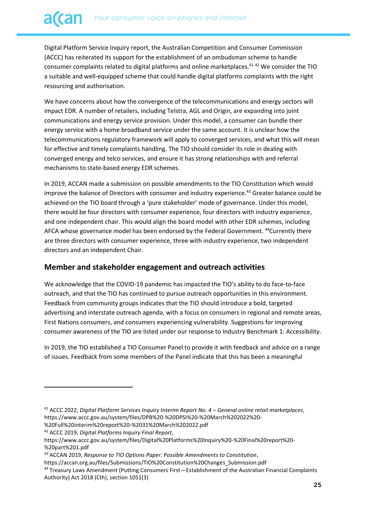Digital Platform Service Inquiry report, the Australian Competition and Consumer Commission (ACCC) has reiterated its support for the establishment of an ombudsman scheme to handle consumer complaints related to digital platforms and online marketplaces.<sup>41</sup> <sup>42</sup> We consider the TIO a suitable and well-equipped scheme that could handle digital platforms complaints with the right resourcing and authorisation.

We have concerns about how the convergence of the telecommunications and energy sectors will impact EDR. A number of retailers, including Telstra, AGL and Origin, are expanding into joint communications and energy service provision. Under this model, a consumer can bundle their energy service with a home broadband service under the same account. It is unclear how the telecommunications regulatory framework will apply to converged services, and what this will mean for effective and timely complaints handling. The TIO should consider its role in dealing with converged energy and telco services, and ensure it has strong relationships with and referral mechanisms to state-based energy EDR schemes.

In 2019, ACCAN made a submission on possible amendments to the TIO Constitution which would improve the balance of Directors with consumer and industry experience.<sup>43</sup> Greater balance could be achieved on the TIO board through a 'pure stakeholder' mode of governance. Under this model, there would be four directors with consumer experience, four directors with industry experience, and one independent chair. This would align the board model with other EDR schemes, including AFCA whose governance model has been endorsed by the Federal Government. <sup>44</sup>Currently there are three directors with consumer experience, three with industry experience, two independent directors and an independent Chair.

#### **Member and stakeholder engagement and outreach activities**

We acknowledge that the COVID-19 pandemic has impacted the TIO's ability to do face-to-face outreach, and that the TIO has continued to pursue outreach opportunities in this environment. Feedback from community groups indicates that the TIO should introduce a bold, targeted advertising and interstate outreach agenda, with a focus on consumers in regional and remote areas, First Nations consumers, and consumers experiencing vulnerability. Suggestions for improving consumer awareness of the TIO are listed under our response to Industry Benchmark 1: Accessibility.

In 2019, the TIO established a TIO Consumer Panel to provide it with feedback and advice on a range of issues. Feedback from some members of the Panel indicate that this has been a meaningful

%20Full%20interim%20report%20-%2031%20March%202022.pdf

<sup>41</sup> ACCC 2022, *Digital Platform Services Inquiry Interim Report No. 4 – General online retail marketplaces*, https://www.accc.gov.au/system/files/DPB%20-%20DPSI%20-%20March%202022%20-

<sup>42</sup> ACCC 2019, *Digital Platforms Inquiry Final Report*,

https://www.accc.gov.au/system/files/Digital%20Platforms%20Inquiry%20-%20Final%20report%20- %20part%201.pdf

<sup>43</sup> ACCAN 2019, *Response to TIO Options Paper: Possible Amendments to Constitution*,

https://accan.org.au/files/Submissions/TIO%20Constitution%20Changes\_Submission.pdf

<sup>44</sup> Treasury Laws Amendment (Putting Consumers First—Establishment of the Australian Financial Complaints Authority) Act 2018 (Cth), section 1051(3)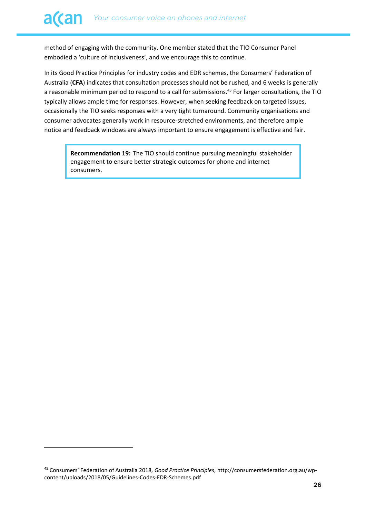method of engaging with the community. One member stated that the TIO Consumer Panel embodied a 'culture of inclusiveness', and we encourage this to continue.

In its Good Practice Principles for industry codes and EDR schemes, the Consumers' Federation of Australia (**CFA**) indicates that consultation processes should not be rushed, and 6 weeks is generally a reasonable minimum period to respond to a call for submissions.<sup>45</sup> For larger consultations, the TIO typically allows ample time for responses. However, when seeking feedback on targeted issues, occasionally the TIO seeks responses with a very tight turnaround. Community organisations and consumer advocates generally work in resource-stretched environments, and therefore ample notice and feedback windows are always important to ensure engagement is effective and fair.

**Recommendation 19:** The TIO should continue pursuing meaningful stakeholder engagement to ensure better strategic outcomes for phone and internet consumers.

<sup>45</sup> Consumers' Federation of Australia 2018, *Good Practice Principles*, http://consumersfederation.org.au/wpcontent/uploads/2018/05/Guidelines-Codes-EDR-Schemes.pdf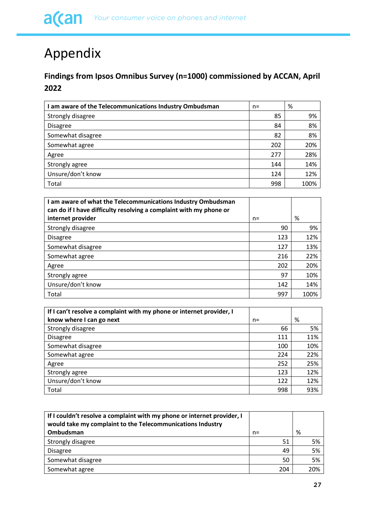# <span id="page-26-0"></span>Appendix

# **Findings from Ipsos Omnibus Survey (n=1000) commissioned by ACCAN, April 2022**

| I am aware of the Telecommunications Industry Ombudsman | $n =$ | %    |
|---------------------------------------------------------|-------|------|
| Strongly disagree                                       | 85    | 9%   |
| <b>Disagree</b>                                         | 84    | 8%   |
| Somewhat disagree                                       | 82    | 8%   |
| Somewhat agree                                          | 202   | 20%  |
| Agree                                                   | 277   | 28%  |
| Strongly agree                                          | 144   | 14%  |
| Unsure/don't know                                       | 124   | 12%  |
| Total                                                   | 998   | 100% |

| I am aware of what the Telecommunications Industry Ombudsman<br>can do if I have difficulty resolving a complaint with my phone or |      |      |
|------------------------------------------------------------------------------------------------------------------------------------|------|------|
| internet provider                                                                                                                  | $n=$ | %    |
| Strongly disagree                                                                                                                  | 90   | 9%   |
| <b>Disagree</b>                                                                                                                    | 123  | 12%  |
| Somewhat disagree                                                                                                                  | 127  | 13%  |
| Somewhat agree                                                                                                                     | 216  | 22%  |
| Agree                                                                                                                              | 202  | 20%  |
| Strongly agree                                                                                                                     | 97   | 10%  |
| Unsure/don't know                                                                                                                  | 142  | 14%  |
| Total                                                                                                                              | 997  | 100% |

| If I can't resolve a complaint with my phone or internet provider, I |      |     |
|----------------------------------------------------------------------|------|-----|
| know where I can go next                                             | $n=$ | %   |
| Strongly disagree                                                    | 66   | 5%  |
| <b>Disagree</b>                                                      | 111  | 11% |
| Somewhat disagree                                                    | 100  | 10% |
| Somewhat agree                                                       | 224  | 22% |
| Agree                                                                | 252  | 25% |
| Strongly agree                                                       | 123  | 12% |
| Unsure/don't know                                                    | 122  | 12% |
| Total                                                                | 998  | 93% |

| If I couldn't resolve a complaint with my phone or internet provider, I<br>would take my complaint to the Telecommunications Industry |       |     |   |     |
|---------------------------------------------------------------------------------------------------------------------------------------|-------|-----|---|-----|
| Ombudsman                                                                                                                             | $n =$ |     | % |     |
| Strongly disagree                                                                                                                     |       | 51  |   | 5%  |
| <b>Disagree</b>                                                                                                                       |       | 49  |   | 5%  |
| Somewhat disagree                                                                                                                     |       | 50  |   | 5%  |
| Somewhat agree                                                                                                                        |       | 204 |   | 20% |